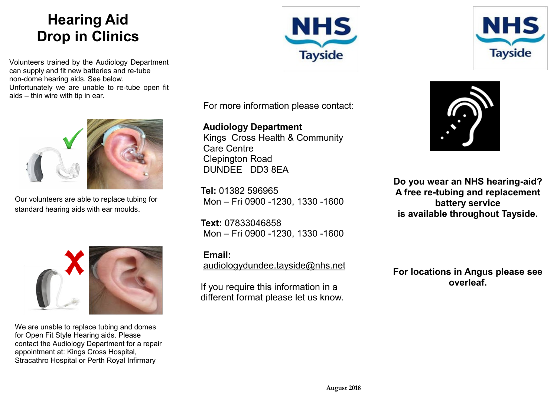## **Hearing Aid Drop in Clinics**

Volunteers trained by the Audiology Department can supply and fit new batteries and re-tube non-dome hearing aids. See below. Unfortunately we are unable to re-tube open fit aids – thin wire with tip in ear.



Our volunteers are able to replace tubing for standard hearing aids with ear moulds.



We are unable to replace tubing and domes for Open Fit Style Hearing aids. Please contact the Audiology Department for a repair appointment at: Kings Cross Hospital, Stracathro Hospital or Perth Royal Infirmary





For more information please contact:

**Audiology Department** [Kings Cross Health & Community](http://www.nhstayside.scot.nhs.uk/GoingToHospital/OurPremisesA-Z/HealthandCommunityCareCentre/index.htm)  [Care Centre](http://www.nhstayside.scot.nhs.uk/GoingToHospital/OurPremisesA-Z/HealthandCommunityCareCentre/index.htm) Clepington Road DUNDEE DD3 8EA

**Tel:** 01382 596965 Mon – Fri 0900 -1230, 1330 -1600

**Text:** 07833046858 Mon – Fri 0900 -1230, 1330 -1600

**Email:** 

[audiologydundee.tayside@nhs.net](mailto:audiologydundee.tayside@nhs.net)

If you require this information in a different format please let us know.



**Do you wear an NHS hearing-aid? A free re-tubing and replacement battery service is available throughout Tayside.**

**For locations in Angus please see overleaf.**